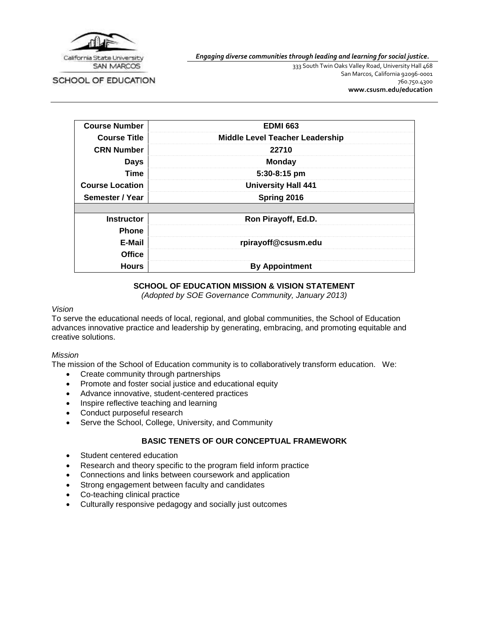

*Engaging diverse communities through leading and learning for social justice.*

SCHOOL OF EDUCATION

333 South Twin Oaks Valley Road, University Hall 468 San Marcos, California 92096-0001 760.750.4300 **[www.csusm.edu/education](http://www.csusm.edu/education)**

| <b>Course Number</b>   | <b>EDMI 663</b>                        |
|------------------------|----------------------------------------|
| <b>Course Title</b>    | <b>Middle Level Teacher Leadership</b> |
| <b>CRN Number</b>      | 22710                                  |
| <b>Days</b>            | <b>Monday</b>                          |
| Time                   | 5:30-8:15 pm                           |
| <b>Course Location</b> | <b>University Hall 441</b>             |
| Semester / Year        | Spring 2016                            |
|                        |                                        |
| <b>Instructor</b>      | Ron Pirayoff, Ed.D.                    |
| <b>Phone</b>           |                                        |
| E-Mail                 | rpirayoff@csusm.edu                    |
| <b>Office</b>          |                                        |
| <b>Hours</b>           | <b>By Appointment</b>                  |

## **SCHOOL OF EDUCATION MISSION & VISION STATEMENT**

*(Adopted by SOE Governance Community, January 2013)*

#### *Vision*

To serve the educational needs of local, regional, and global communities, the School of Education advances innovative practice and leadership by generating, embracing, and promoting equitable and creative solutions.

#### *Mission*

The mission of the School of Education community is to collaboratively transform education. We:

- Create community through partnerships
- Promote and foster social justice and educational equity
- Advance innovative, student-centered practices
- Inspire reflective teaching and learning
- Conduct purposeful research
- Serve the School, College, University, and Community

## **BASIC TENETS OF OUR CONCEPTUAL FRAMEWORK**

- Student centered education
- Research and theory specific to the program field inform practice
- Connections and links between coursework and application
- Strong engagement between faculty and candidates
- Co-teaching clinical practice
- Culturally responsive pedagogy and socially just outcomes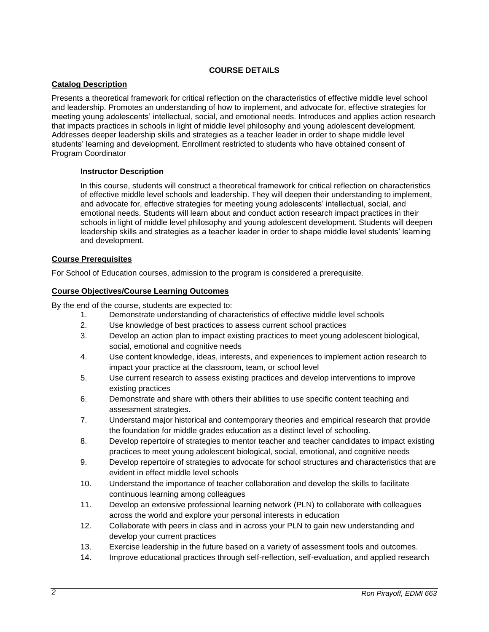## **COURSE DETAILS**

## **Catalog Description**

Presents a theoretical framework for critical reflection on the characteristics of effective middle level school and leadership. Promotes an understanding of how to implement, and advocate for, effective strategies for meeting young adolescents' intellectual, social, and emotional needs. Introduces and applies action research that impacts practices in schools in light of middle level philosophy and young adolescent development. Addresses deeper leadership skills and strategies as a teacher leader in order to shape middle level students' learning and development. Enrollment restricted to students who have obtained consent of Program Coordinator

#### **Instructor Description**

In this course, students will construct a theoretical framework for critical reflection on characteristics of effective middle level schools and leadership. They will deepen their understanding to implement, and advocate for, effective strategies for meeting young adolescents' intellectual, social, and emotional needs. Students will learn about and conduct action research impact practices in their schools in light of middle level philosophy and young adolescent development. Students will deepen leadership skills and strategies as a teacher leader in order to shape middle level students' learning and development.

#### **Course Prerequisites**

For School of Education courses, admission to the program is considered a prerequisite.

#### **Course Objectives/Course Learning Outcomes**

By the end of the course, students are expected to:

- 1. Demonstrate understanding of characteristics of effective middle level schools
- 2. Use knowledge of best practices to assess current school practices
- 3. Develop an action plan to impact existing practices to meet young adolescent biological, social, emotional and cognitive needs
- 4. Use content knowledge, ideas, interests, and experiences to implement action research to impact your practice at the classroom, team, or school level
- 5. Use current research to assess existing practices and develop interventions to improve existing practices
- 6. Demonstrate and share with others their abilities to use specific content teaching and assessment strategies.
- 7. Understand major historical and contemporary theories and empirical research that provide the foundation for middle grades education as a distinct level of schooling.
- 8. Develop repertoire of strategies to mentor teacher and teacher candidates to impact existing practices to meet young adolescent biological, social, emotional, and cognitive needs
- 9. Develop repertoire of strategies to advocate for school structures and characteristics that are evident in effect middle level schools
- 10. Understand the importance of teacher collaboration and develop the skills to facilitate continuous learning among colleagues
- 11. Develop an extensive professional learning network (PLN) to collaborate with colleagues across the world and explore your personal interests in education
- 12. Collaborate with peers in class and in across your PLN to gain new understanding and develop your current practices
- 13. Exercise leadership in the future based on a variety of assessment tools and outcomes.
- 14. Improve educational practices through self-reflection, self-evaluation, and applied research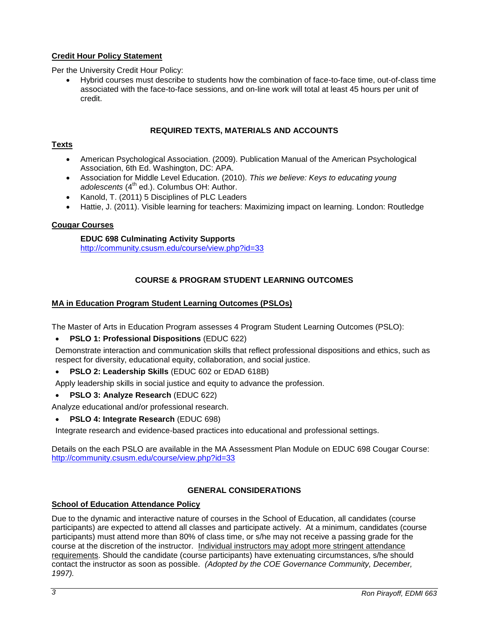# **Credit Hour Policy Statement**

Per the University Credit Hour Policy:

 Hybrid courses must describe to students how the combination of face-to-face time, out-of-class time associated with the face-to-face sessions, and on-line work will total at least 45 hours per unit of credit.

## **REQUIRED TEXTS, MATERIALS AND ACCOUNTS**

## **Texts**

- American Psychological Association. (2009). Publication Manual of the American Psychological Association, 6th Ed. Washington, DC: APA.
- Association for Middle Level Education. (2010). *This we believe: Keys to educating young*  adolescents (4<sup>th</sup> ed.). Columbus OH: Author.
- Kanold, T. (2011) 5 Disciplines of PLC Leaders
- Hattie, J. (2011). Visible learning for teachers: Maximizing impact on learning. London: Routledge

## **Cougar Courses**

**EDUC 698 Culminating Activity Supports** <http://community.csusm.edu/course/view.php?id=33>

## **COURSE & PROGRAM STUDENT LEARNING OUTCOMES**

## **MA in Education Program Student Learning Outcomes (PSLOs)**

The Master of Arts in Education Program assesses 4 Program Student Learning Outcomes (PSLO):

## **PSLO 1: Professional Dispositions** (EDUC 622)

Demonstrate interaction and communication skills that reflect professional dispositions and ethics, such as respect for diversity, educational equity, collaboration, and social justice.

**PSLO 2: Leadership Skills** (EDUC 602 or EDAD 618B)

Apply leadership skills in social justice and equity to advance the profession.

**PSLO 3: Analyze Research** (EDUC 622)

Analyze educational and/or professional research.

**PSLO 4: Integrate Research** (EDUC 698)

Integrate research and evidence-based practices into educational and professional settings.

Details on the each PSLO are available in the MA Assessment Plan Module on EDUC 698 Cougar Course: <http://community.csusm.edu/course/view.php?id=33>

## **GENERAL CONSIDERATIONS**

## **School of Education Attendance Policy**

Due to the dynamic and interactive nature of courses in the School of Education, all candidates (course participants) are expected to attend all classes and participate actively. At a minimum, candidates (course participants) must attend more than 80% of class time, or s/he may not receive a passing grade for the course at the discretion of the instructor. Individual instructors may adopt more stringent attendance requirements. Should the candidate (course participants) have extenuating circumstances, s/he should contact the instructor as soon as possible. *(Adopted by the COE Governance Community, December, 1997).*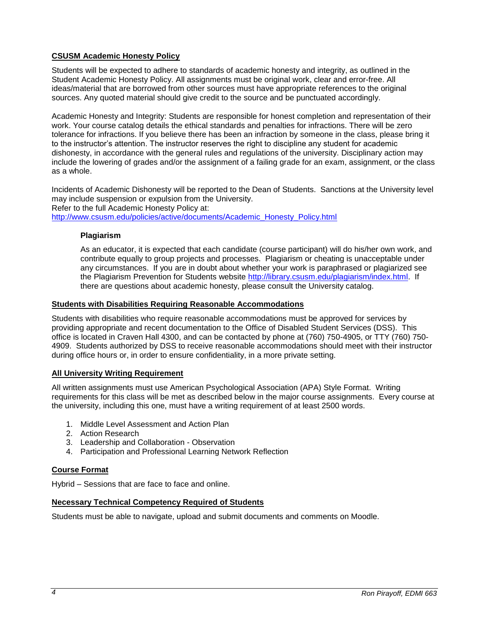## **CSUSM Academic Honesty Policy**

Students will be expected to adhere to standards of academic honesty and integrity, as outlined in the Student Academic Honesty Policy. All assignments must be original work, clear and error-free. All ideas/material that are borrowed from other sources must have appropriate references to the original sources. Any quoted material should give credit to the source and be punctuated accordingly.

Academic Honesty and Integrity: Students are responsible for honest completion and representation of their work. Your course catalog details the ethical standards and penalties for infractions. There will be zero tolerance for infractions. If you believe there has been an infraction by someone in the class, please bring it to the instructor's attention. The instructor reserves the right to discipline any student for academic dishonesty, in accordance with the general rules and regulations of the university. Disciplinary action may include the lowering of grades and/or the assignment of a failing grade for an exam, assignment, or the class as a whole.

Incidents of Academic Dishonesty will be reported to the Dean of Students. Sanctions at the University level may include suspension or expulsion from the University. Refer to the full Academic Honesty Policy at: [http://www.csusm.edu/policies/active/documents/Academic\\_Honesty\\_Policy.html](http://www.csusm.edu/policies/active/documents/Academic_Honesty_Policy.html)

#### **Plagiarism**

As an educator, it is expected that each candidate (course participant) will do his/her own work, and contribute equally to group projects and processes. Plagiarism or cheating is unacceptable under any circumstances. If you are in doubt about whether your work is paraphrased or plagiarized see the Plagiarism Prevention for Students website [http://library.csusm.edu/plagiarism/index.html.](http://library.csusm.edu/plagiarism/index.html) If there are questions about academic honesty, please consult the University catalog.

#### **Students with Disabilities Requiring Reasonable Accommodations**

Students with disabilities who require reasonable accommodations must be approved for services by providing appropriate and recent documentation to the Office of Disabled Student Services (DSS). This office is located in Craven Hall 4300, and can be contacted by phone at (760) 750-4905, or TTY (760) 750- 4909. Students authorized by DSS to receive reasonable accommodations should meet with their instructor during office hours or, in order to ensure confidentiality, in a more private setting.

## **All University Writing Requirement**

All written assignments must use American Psychological Association (APA) Style Format. Writing requirements for this class will be met as described below in the major course assignments. Every course at the university, including this one, must have a writing requirement of at least 2500 words.

- 1. Middle Level Assessment and Action Plan
- 2. Action Research
- 3. Leadership and Collaboration Observation
- 4. Participation and Professional Learning Network Reflection

## **Course Format**

Hybrid – Sessions that are face to face and online.

## **Necessary Technical Competency Required of Students**

Students must be able to navigate, upload and submit documents and comments on Moodle.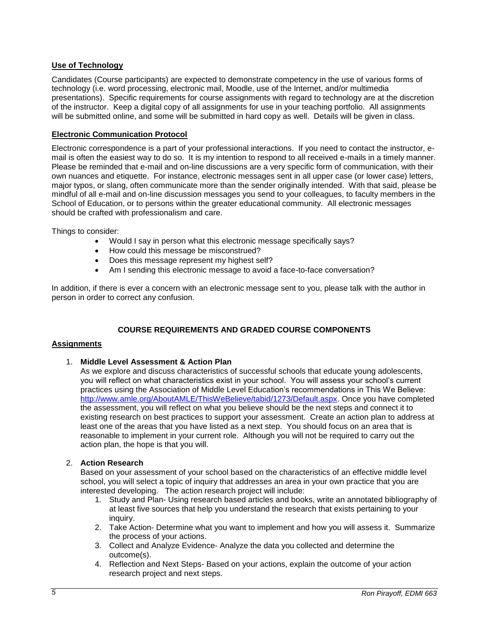## **Use of Technology**

Candidates (Course participants) are expected to demonstrate competency in the use of various forms of technology (i.e. word processing, electronic mail, Moodle, use of the Internet, and/or multimedia presentations). Specific requirements for course assignments with regard to technology are at the discretion of the instructor. Keep a digital copy of all assignments for use in your teaching portfolio. All assignments will be submitted online, and some will be submitted in hard copy as well. Details will be given in class.

## **Electronic Communication Protocol**

Electronic correspondence is a part of your professional interactions. If you need to contact the instructor, email is often the easiest way to do so. It is my intention to respond to all received e-mails in a timely manner. Please be reminded that e-mail and on-line discussions are a very specific form of communication, with their own nuances and etiquette. For instance, electronic messages sent in all upper case (or lower case) letters, major typos, or slang, often communicate more than the sender originally intended. With that said, please be mindful of all e-mail and on-line discussion messages you send to your colleagues, to faculty members in the School of Education, or to persons within the greater educational community. All electronic messages should be crafted with professionalism and care.

Things to consider:

- Would I say in person what this electronic message specifically says?
- How could this message be misconstrued?
- Does this message represent my highest self?
- Am I sending this electronic message to avoid a face-to-face conversation?

In addition, if there is ever a concern with an electronic message sent to you, please talk with the author in person in order to correct any confusion.

# **COURSE REQUIREMENTS AND GRADED COURSE COMPONENTS**

#### **Assignments**

1. **Middle Level Assessment & Action Plan**

As we explore and discuss characteristics of successful schools that educate young adolescents, you will reflect on what characteristics exist in your school. You will assess your school's current practices using the Association of Middle Level Education's recommendations in This We Believe: [http://www.amle.org/AboutAMLE/ThisWeBelieve/tabid/1273/Default.aspx.](http://www.amle.org/AboutAMLE/ThisWeBelieve/tabid/1273/Default.aspx) Once you have completed the assessment, you will reflect on what you believe should be the next steps and connect it to existing research on best practices to support your assessment. Create an action plan to address at least one of the areas that you have listed as a next step. You should focus on an area that is reasonable to implement in your current role. Although you will not be required to carry out the action plan, the hope is that you will.

## 2. **Action Research**

Based on your assessment of your school based on the characteristics of an effective middle level school, you will select a topic of inquiry that addresses an area in your own practice that you are interested developing. The action research project will include:

- 1. Study and Plan- Using research based articles and books, write an annotated bibliography of at least five sources that help you understand the research that exists pertaining to your inquiry.
- 2. Take Action- Determine what you want to implement and how you will assess it. Summarize the process of your actions.
- 3. Collect and Analyze Evidence- Analyze the data you collected and determine the outcome(s).
- 4. Reflection and Next Steps- Based on your actions, explain the outcome of your action research project and next steps.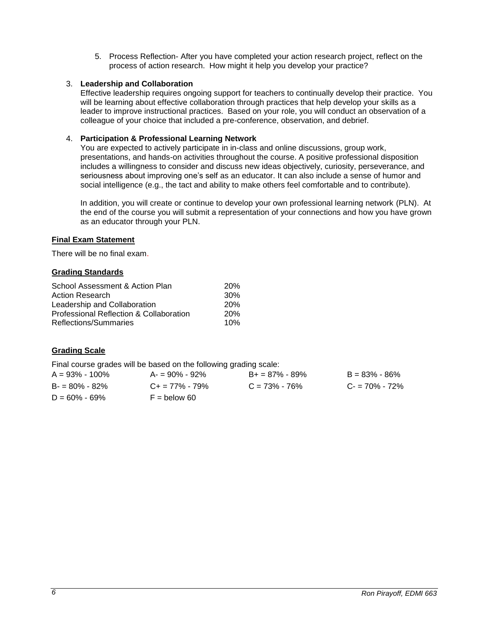5. Process Reflection- After you have completed your action research project, reflect on the process of action research. How might it help you develop your practice?

### 3. **Leadership and Collaboration**

Effective leadership requires ongoing support for teachers to continually develop their practice. You will be learning about effective collaboration through practices that help develop your skills as a leader to improve instructional practices. Based on your role, you will conduct an observation of a colleague of your choice that included a pre-conference, observation, and debrief.

### 4. **Participation & Professional Learning Network**

You are expected to actively participate in in-class and online discussions, group work, presentations, and hands-on activities throughout the course. A positive professional disposition includes a willingness to consider and discuss new ideas objectively, curiosity, perseverance, and seriousness about improving one's self as an educator. It can also include a sense of humor and social intelligence (e.g., the tact and ability to make others feel comfortable and to contribute).

In addition, you will create or continue to develop your own professional learning network (PLN). At the end of the course you will submit a representation of your connections and how you have grown as an educator through your PLN.

## **Final Exam Statement**

There will be no final exam.

#### **Grading Standards**

| School Assessment & Action Plan         | <b>20%</b>      |
|-----------------------------------------|-----------------|
| <b>Action Research</b>                  | 30 <sup>%</sup> |
| Leadership and Collaboration            | <b>20%</b>      |
| Professional Reflection & Collaboration | <b>20%</b>      |
| Reflections/Summaries                   | 10%             |

## **Grading Scale**

Final course grades will be based on the following grading scale:

| $A = 93\% - 100\%$ | $A = 90\% - 92\%$          | $B+ = 87\% - 89\%$ | B = 83% - 86%     |
|--------------------|----------------------------|--------------------|-------------------|
| $B = 80\% - 82\%$  | $C_{\rm{+}} = 77\% - 79\%$ | $C = 73\% - 76\%$  | $C = 70\% - 72\%$ |
| $D = 60\% - 69\%$  | $F =$ below 60             |                    |                   |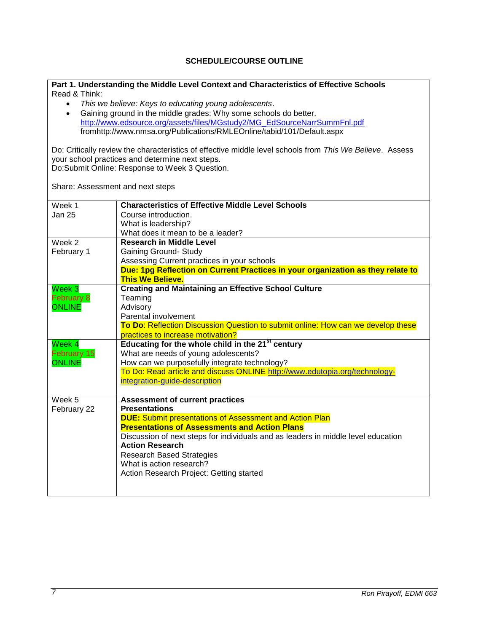## **SCHEDULE/COURSE OUTLINE**

#### **Part 1. Understanding the Middle Level Context and Characteristics of Effective Schools** Read & Think:

- *This we believe: Keys to educating young adolescents*.
- Gaining ground in the middle grades: Why some schools do better. [http://www.edsource.org/assets/files/MGstudy2/MG\\_EdSourceNarrSummFnl.pdf](http://www.edsource.org/assets/files/MGstudy2/MG_EdSourceNarrSummFnl.pdf) fromhttp://www.nmsa.org/Publications/RMLEOnline/tabid/101/Default.aspx

Do: Critically review the characteristics of effective middle level schools from *This We Believe*. Assess your school practices and determine next steps. Do:Submit Online: Response to Week 3 Question.

Share: Assessment and next steps

| Week 1             | <b>Characteristics of Effective Middle Level Schools</b>                          |
|--------------------|-----------------------------------------------------------------------------------|
| <b>Jan 25</b>      | Course introduction.                                                              |
|                    | What is leadership?                                                               |
|                    | What does it mean to be a leader?                                                 |
| Week 2             | <b>Research in Middle Level</b>                                                   |
| February 1         | <b>Gaining Ground- Study</b>                                                      |
|                    | Assessing Current practices in your schools                                       |
|                    | Due: 1pg Reflection on Current Practices in your organization as they relate to   |
|                    | <b>This We Believe.</b>                                                           |
| Week 3             | <b>Creating and Maintaining an Effective School Culture</b>                       |
| <b>February 8</b>  | Teaming                                                                           |
| <b>ONLINE</b>      | Advisory                                                                          |
|                    | Parental involvement                                                              |
|                    | To Do: Reflection Discussion Question to submit online: How can we develop these  |
|                    | practices to increase motivation?                                                 |
| Week 4             | Educating for the whole child in the 21 <sup>st</sup> century                     |
| <b>February 15</b> | What are needs of young adolescents?                                              |
| <b>ONLINE</b>      | How can we purposefully integrate technology?                                     |
|                    | To Do: Read article and discuss ONLINE http://www.edutopia.org/technology-        |
|                    | integration-guide-description                                                     |
|                    |                                                                                   |
| Week 5             | <b>Assessment of current practices</b>                                            |
| February 22        | <b>Presentations</b>                                                              |
|                    | <b>DUE:</b> Submit presentations of Assessment and Action Plan                    |
|                    | <b>Presentations of Assessments and Action Plans</b>                              |
|                    | Discussion of next steps for individuals and as leaders in middle level education |
|                    | <b>Action Research</b>                                                            |
|                    | <b>Research Based Strategies</b>                                                  |
|                    | What is action research?                                                          |
|                    | Action Research Project: Getting started                                          |
|                    |                                                                                   |
|                    |                                                                                   |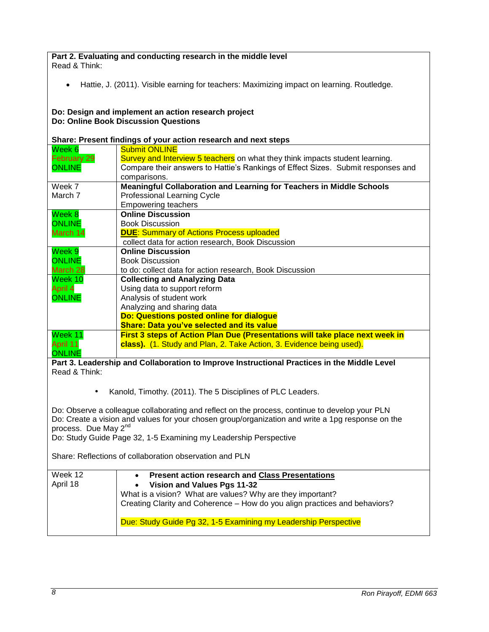|                                                                                                    | Part 2. Evaluating and conducting research in the middle level                                                                                                                                      |  |  |
|----------------------------------------------------------------------------------------------------|-----------------------------------------------------------------------------------------------------------------------------------------------------------------------------------------------------|--|--|
| Read & Think:                                                                                      |                                                                                                                                                                                                     |  |  |
| Hattie, J. (2011). Visible earning for teachers: Maximizing impact on learning. Routledge.         |                                                                                                                                                                                                     |  |  |
| Do: Design and implement an action research project<br><b>Do: Online Book Discussion Questions</b> |                                                                                                                                                                                                     |  |  |
|                                                                                                    | Share: Present findings of your action research and next steps                                                                                                                                      |  |  |
| Week 6                                                                                             | <b>Submit ONLINE</b>                                                                                                                                                                                |  |  |
| <b>February 29</b>                                                                                 | Survey and Interview 5 teachers on what they think impacts student learning.                                                                                                                        |  |  |
| <b>ONLINE</b>                                                                                      | Compare their answers to Hattie's Rankings of Effect Sizes. Submit responses and                                                                                                                    |  |  |
|                                                                                                    | comparisons.                                                                                                                                                                                        |  |  |
| Week 7                                                                                             | Meaningful Collaboration and Learning for Teachers in Middle Schools                                                                                                                                |  |  |
| March 7                                                                                            | Professional Learning Cycle                                                                                                                                                                         |  |  |
|                                                                                                    | <b>Empowering teachers</b>                                                                                                                                                                          |  |  |
| Week 8                                                                                             | <b>Online Discussion</b>                                                                                                                                                                            |  |  |
| <b>ONLINE</b>                                                                                      | <b>Book Discussion</b><br><b>DUE: Summary of Actions Process uploaded</b>                                                                                                                           |  |  |
| March 14                                                                                           | collect data for action research, Book Discussion                                                                                                                                                   |  |  |
| Week 9                                                                                             | <b>Online Discussion</b>                                                                                                                                                                            |  |  |
| <b>ONLINE</b>                                                                                      | <b>Book Discussion</b>                                                                                                                                                                              |  |  |
| March 28                                                                                           | to do: collect data for action research, Book Discussion                                                                                                                                            |  |  |
| Week 10                                                                                            | <b>Collecting and Analyzing Data</b>                                                                                                                                                                |  |  |
| April 4                                                                                            | Using data to support reform                                                                                                                                                                        |  |  |
| <b>ONLINE</b>                                                                                      | Analysis of student work                                                                                                                                                                            |  |  |
|                                                                                                    | Analyzing and sharing data                                                                                                                                                                          |  |  |
|                                                                                                    | Do: Questions posted online for dialogue                                                                                                                                                            |  |  |
|                                                                                                    | <b>Share: Data you've selected and its value</b>                                                                                                                                                    |  |  |
| Week 11                                                                                            | First 3 steps of Action Plan Due (Presentations will take place next week in                                                                                                                        |  |  |
| April 11<br><b>ONLINE</b>                                                                          | class). (1. Study and Plan, 2. Take Action, 3. Evidence being used).                                                                                                                                |  |  |
|                                                                                                    | Part 3. Leadership and Collaboration to Improve Instructional Practices in the Middle Level                                                                                                         |  |  |
| Read & Think:                                                                                      |                                                                                                                                                                                                     |  |  |
|                                                                                                    |                                                                                                                                                                                                     |  |  |
|                                                                                                    | Kanold, Timothy. (2011). The 5 Disciplines of PLC Leaders.                                                                                                                                          |  |  |
|                                                                                                    |                                                                                                                                                                                                     |  |  |
|                                                                                                    | Do: Observe a colleague collaborating and reflect on the process, continue to develop your PLN<br>Do: Create a vision and values for your chosen group/organization and write a 1pg response on the |  |  |
| process. Due May 2 <sup>nd</sup>                                                                   |                                                                                                                                                                                                     |  |  |
|                                                                                                    | Do: Study Guide Page 32, 1-5 Examining my Leadership Perspective                                                                                                                                    |  |  |
|                                                                                                    |                                                                                                                                                                                                     |  |  |
| Share: Reflections of collaboration observation and PLN                                            |                                                                                                                                                                                                     |  |  |
| Week 12                                                                                            | <b>Present action research and Class Presentations</b>                                                                                                                                              |  |  |
| April 18                                                                                           | <b>Vision and Values Pgs 11-32</b>                                                                                                                                                                  |  |  |
|                                                                                                    | What is a vision? What are values? Why are they important?                                                                                                                                          |  |  |
|                                                                                                    | Creating Clarity and Coherence - How do you align practices and behaviors?                                                                                                                          |  |  |
|                                                                                                    | Due: Study Guide Pg 32, 1-5 Examining my Leadership Perspective                                                                                                                                     |  |  |
|                                                                                                    |                                                                                                                                                                                                     |  |  |